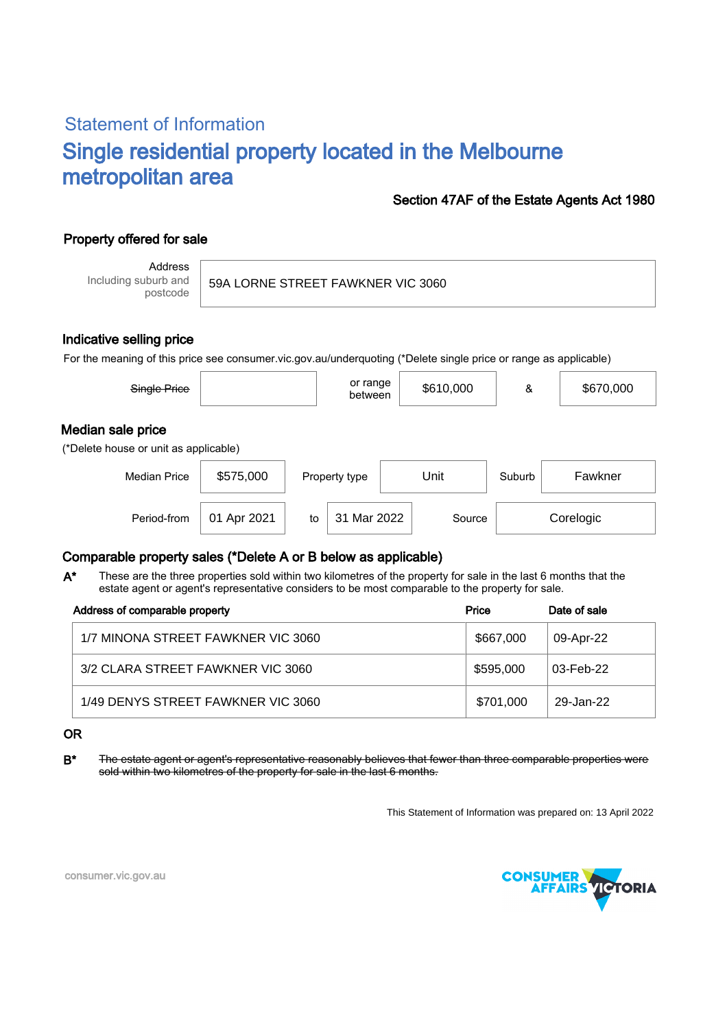# Statement of Information Single residential property located in the Melbourne metropolitan area

### Section 47AF of the Estate Agents Act 1980

## Property offered for sale

Address Including suburb and postcode

59A LORNE STREET FAWKNER VIC 3060

### Indicative selling price

For the meaning of this price see consumer.vic.gov.au/underquoting (\*Delete single price or range as applicable)

| Single Price                                               |             |    | or range<br>between |  | \$610,000 | &      | \$670,000 |
|------------------------------------------------------------|-------------|----|---------------------|--|-----------|--------|-----------|
| Median sale price<br>(*Delete house or unit as applicable) |             |    |                     |  |           |        |           |
| <b>Median Price</b>                                        | \$575,000   |    | Property type       |  | Unit      | Suburb | Fawkner   |
| Period-from                                                | 01 Apr 2021 | to | 31 Mar 2022         |  | Source    |        | Corelogic |

### Comparable property sales (\*Delete A or B below as applicable)

These are the three properties sold within two kilometres of the property for sale in the last 6 months that the estate agent or agent's representative considers to be most comparable to the property for sale. A\*

| Address of comparable property     | Price     | Date of sale |
|------------------------------------|-----------|--------------|
| 1/7 MINONA STREET FAWKNER VIC 3060 | \$667,000 | 09-Apr-22    |
| 3/2 CLARA STREET FAWKNER VIC 3060  | \$595,000 | 03-Feb-22    |
| 1/49 DENYS STREET FAWKNER VIC 3060 | \$701,000 | 29-Jan-22    |

#### OR

B<sup>\*</sup> The estate agent or agent's representative reasonably believes that fewer than three comparable properties were sold within two kilometres of the property for sale in the last 6 months.

This Statement of Information was prepared on: 13 April 2022



consumer.vic.gov.au